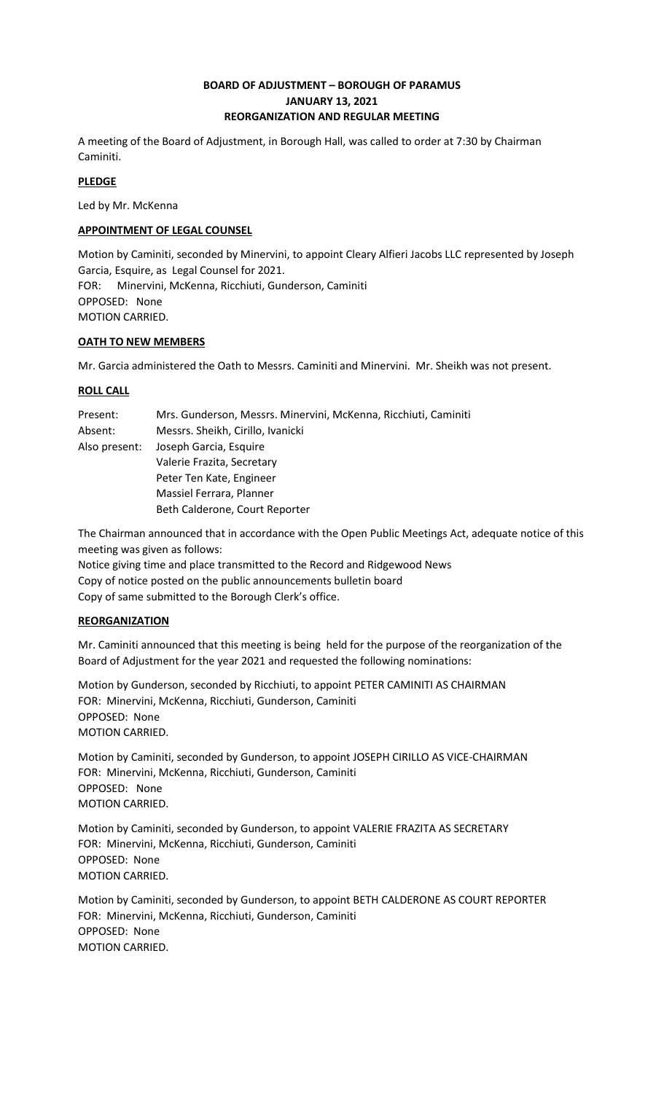# **BOARD OF ADJUSTMENT – BOROUGH OF PARAMUS JANUARY 13, 2021 REORGANIZATION AND REGULAR MEETING**

A meeting of the Board of Adjustment, in Borough Hall, was called to order at 7:30 by Chairman Caminiti.

# **PLEDGE**

Led by Mr. McKenna

## **APPOINTMENT OF LEGAL COUNSEL**

Motion by Caminiti, seconded by Minervini, to appoint Cleary Alfieri Jacobs LLC represented by Joseph Garcia, Esquire, as Legal Counsel for 2021. FOR: Minervini, McKenna, Ricchiuti, Gunderson, Caminiti OPPOSED: None MOTION CARRIED.

## **OATH TO NEW MEMBERS**

Mr. Garcia administered the Oath to Messrs. Caminiti and Minervini. Mr. Sheikh was not present.

## **ROLL CALL**

| Present:      | Mrs. Gunderson, Messrs. Minervini, McKenna, Ricchiuti, Caminiti |
|---------------|-----------------------------------------------------------------|
| Absent:       | Messrs. Sheikh, Cirillo, Ivanicki                               |
| Also present: | Joseph Garcia, Esquire                                          |
|               | Valerie Frazita, Secretary                                      |
|               | Peter Ten Kate, Engineer                                        |
|               | Massiel Ferrara, Planner                                        |
|               | Beth Calderone, Court Reporter                                  |

The Chairman announced that in accordance with the Open Public Meetings Act, adequate notice of this meeting was given as follows:

Notice giving time and place transmitted to the Record and Ridgewood News Copy of notice posted on the public announcements bulletin board Copy of same submitted to the Borough Clerk's office.

# **REORGANIZATION**

Mr. Caminiti announced that this meeting is being held for the purpose of the reorganization of the Board of Adjustment for the year 2021 and requested the following nominations:

Motion by Gunderson, seconded by Ricchiuti, to appoint PETER CAMINITI AS CHAIRMAN FOR: Minervini, McKenna, Ricchiuti, Gunderson, Caminiti OPPOSED: None MOTION CARRIED.

Motion by Caminiti, seconded by Gunderson, to appoint JOSEPH CIRILLO AS VICE-CHAIRMAN FOR: Minervini, McKenna, Ricchiuti, Gunderson, Caminiti OPPOSED: None MOTION CARRIED.

Motion by Caminiti, seconded by Gunderson, to appoint VALERIE FRAZITA AS SECRETARY FOR: Minervini, McKenna, Ricchiuti, Gunderson, Caminiti OPPOSED: None MOTION CARRIED.

Motion by Caminiti, seconded by Gunderson, to appoint BETH CALDERONE AS COURT REPORTER FOR: Minervini, McKenna, Ricchiuti, Gunderson, Caminiti OPPOSED: None MOTION CARRIED.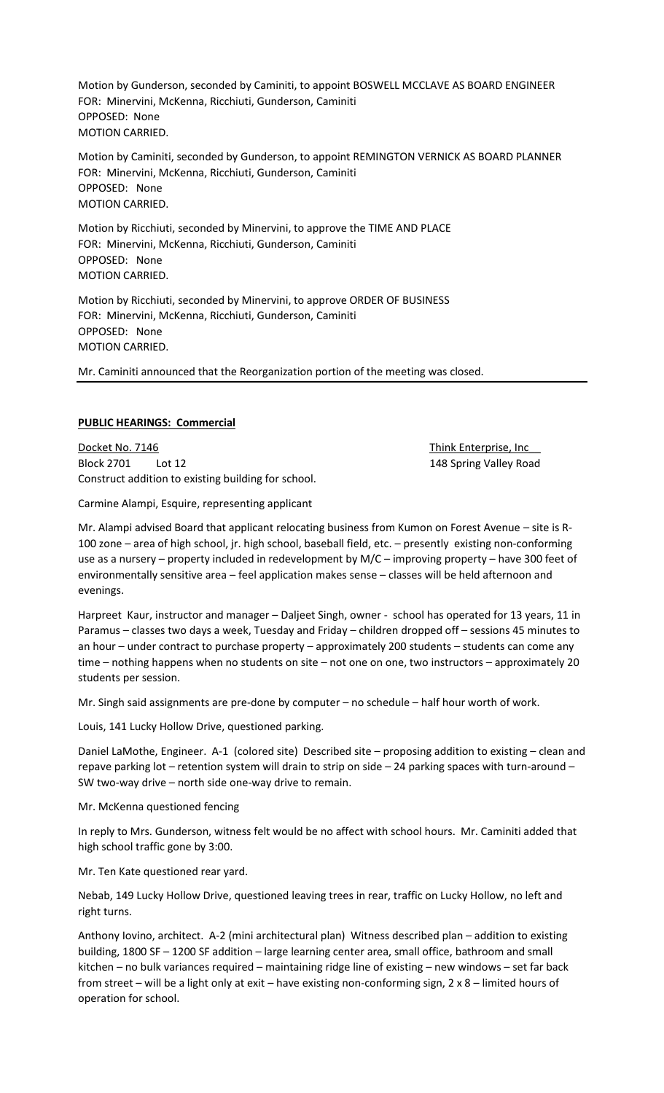Motion by Gunderson, seconded by Caminiti, to appoint BOSWELL MCCLAVE AS BOARD ENGINEER FOR: Minervini, McKenna, Ricchiuti, Gunderson, Caminiti OPPOSED: None MOTION CARRIED.

Motion by Caminiti, seconded by Gunderson, to appoint REMINGTON VERNICK AS BOARD PLANNER FOR: Minervini, McKenna, Ricchiuti, Gunderson, Caminiti OPPOSED: None MOTION CARRIED.

Motion by Ricchiuti, seconded by Minervini, to approve the TIME AND PLACE FOR: Minervini, McKenna, Ricchiuti, Gunderson, Caminiti OPPOSED: None MOTION CARRIED.

Motion by Ricchiuti, seconded by Minervini, to approve ORDER OF BUSINESS FOR: Minervini, McKenna, Ricchiuti, Gunderson, Caminiti OPPOSED: None MOTION CARRIED.

Mr. Caminiti announced that the Reorganization portion of the meeting was closed.

### **PUBLIC HEARINGS: Commercial**

Docket No. 7146 Think Enterprise, Inc. No. 7146 Block 2701 Lot 12 2008 2009 12:30 12:30 148 Spring Valley Road Construct addition to existing building for school.

Carmine Alampi, Esquire, representing applicant

Mr. Alampi advised Board that applicant relocating business from Kumon on Forest Avenue – site is R-100 zone – area of high school, jr. high school, baseball field, etc. – presently existing non-conforming use as a nursery – property included in redevelopment by M/C – improving property – have 300 feet of environmentally sensitive area – feel application makes sense – classes will be held afternoon and evenings.

Harpreet Kaur, instructor and manager – Daljeet Singh, owner - school has operated for 13 years, 11 in Paramus – classes two days a week, Tuesday and Friday – children dropped off – sessions 45 minutes to an hour – under contract to purchase property – approximately 200 students – students can come any time – nothing happens when no students on site – not one on one, two instructors – approximately 20 students per session.

Mr. Singh said assignments are pre-done by computer – no schedule – half hour worth of work.

Louis, 141 Lucky Hollow Drive, questioned parking.

Daniel LaMothe, Engineer. A-1 (colored site) Described site – proposing addition to existing – clean and repave parking lot – retention system will drain to strip on side – 24 parking spaces with turn-around – SW two-way drive – north side one-way drive to remain.

Mr. McKenna questioned fencing

In reply to Mrs. Gunderson, witness felt would be no affect with school hours. Mr. Caminiti added that high school traffic gone by 3:00.

Mr. Ten Kate questioned rear yard.

Nebab, 149 Lucky Hollow Drive, questioned leaving trees in rear, traffic on Lucky Hollow, no left and right turns.

Anthony Iovino, architect. A-2 (mini architectural plan) Witness described plan – addition to existing building, 1800 SF – 1200 SF addition – large learning center area, small office, bathroom and small kitchen – no bulk variances required – maintaining ridge line of existing – new windows – set far back from street – will be a light only at exit – have existing non-conforming sign, 2 x 8 – limited hours of operation for school.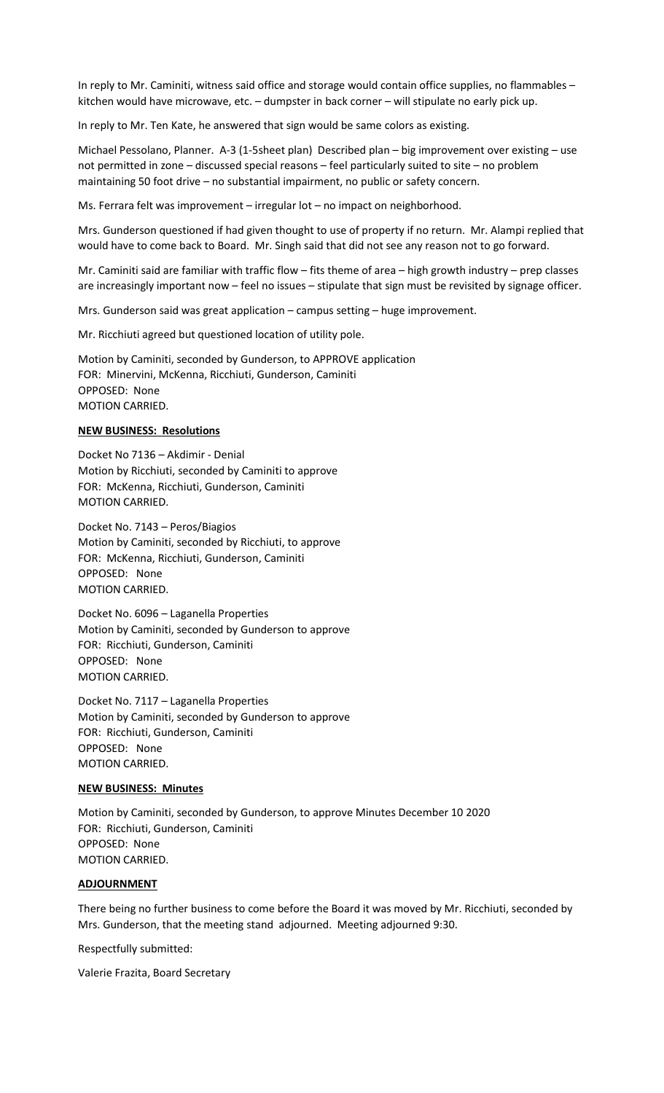In reply to Mr. Caminiti, witness said office and storage would contain office supplies, no flammables – kitchen would have microwave, etc. – dumpster in back corner – will stipulate no early pick up.

In reply to Mr. Ten Kate, he answered that sign would be same colors as existing.

Michael Pessolano, Planner. A-3 (1-5sheet plan) Described plan – big improvement over existing – use not permitted in zone – discussed special reasons – feel particularly suited to site – no problem maintaining 50 foot drive – no substantial impairment, no public or safety concern.

Ms. Ferrara felt was improvement – irregular lot – no impact on neighborhood.

Mrs. Gunderson questioned if had given thought to use of property if no return. Mr. Alampi replied that would have to come back to Board. Mr. Singh said that did not see any reason not to go forward.

Mr. Caminiti said are familiar with traffic flow – fits theme of area – high growth industry – prep classes are increasingly important now – feel no issues – stipulate that sign must be revisited by signage officer.

Mrs. Gunderson said was great application – campus setting – huge improvement.

Mr. Ricchiuti agreed but questioned location of utility pole.

Motion by Caminiti, seconded by Gunderson, to APPROVE application FOR: Minervini, McKenna, Ricchiuti, Gunderson, Caminiti OPPOSED: None MOTION CARRIED.

#### **NEW BUSINESS: Resolutions**

Docket No 7136 – Akdimir - Denial Motion by Ricchiuti, seconded by Caminiti to approve FOR: McKenna, Ricchiuti, Gunderson, Caminiti MOTION CARRIED.

Docket No. 7143 – Peros/Biagios Motion by Caminiti, seconded by Ricchiuti, to approve FOR: McKenna, Ricchiuti, Gunderson, Caminiti OPPOSED: None MOTION CARRIED.

Docket No. 6096 – Laganella Properties Motion by Caminiti, seconded by Gunderson to approve FOR: Ricchiuti, Gunderson, Caminiti OPPOSED: None MOTION CARRIED.

Docket No. 7117 – Laganella Properties Motion by Caminiti, seconded by Gunderson to approve FOR: Ricchiuti, Gunderson, Caminiti OPPOSED: None MOTION CARRIED.

#### **NEW BUSINESS: Minutes**

Motion by Caminiti, seconded by Gunderson, to approve Minutes December 10 2020 FOR: Ricchiuti, Gunderson, Caminiti OPPOSED: None MOTION CARRIED.

#### **ADJOURNMENT**

There being no further business to come before the Board it was moved by Mr. Ricchiuti, seconded by Mrs. Gunderson, that the meeting stand adjourned. Meeting adjourned 9:30.

Respectfully submitted:

Valerie Frazita, Board Secretary